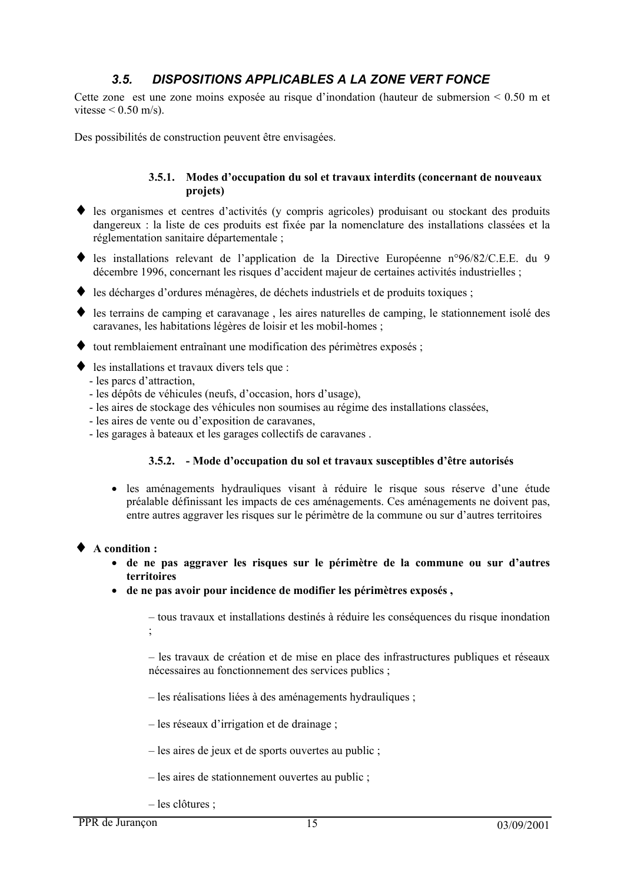#### $3.5.$ DISPOSITIONS APPLICABLES A LA ZONE VERT FONCE

Cette zone est une zone moins exposée au risque d'inondation (hauteur de submersion  $\leq 0.50$  m et vitesse  $\leq$  0.50 m/s).

Des possibilités de construction peuvent être envisagées.

### 3.5.1. Modes d'occupation du sol et travaux interdits (concernant de nouveaux projets)

- $\bullet$  les organismes et centres d'activités (y compris agricoles) produisant ou stockant des produits dangereux : la liste de ces produits est fixée par la nomenclature des installations classées et la réglementation sanitaire départementale ;
- les installations relevant de l'application de la Directive Européenne n°96/82/C.E.E. du 9 décembre 1996, concernant les risques d'accident majeur de certaines activités industrielles;
- les décharges d'ordures ménagères, de déchets industriels et de produits toxiques;
- les terrains de camping et caravanage, les aires naturelles de camping, le stationnement isolé des caravanes, les habitations légères de loisir et les mobil-homes ;
- $\bullet$  tout remblaiement entraînant une modification des périmètres exposés ;
- $\bullet$  les installations et travaux divers tels que :
	- les parcs d'attraction,
	- les dépôts de véhicules (neufs, d'occasion, hors d'usage),
	- les aires de stockage des véhicules non soumises au régime des installations classées,
	- les aires de vente ou d'exposition de caravanes.
	- les garages à bateaux et les garages collectifs de caravanes.

#### 3.5.2. - Mode d'occupation du sol et travaux susceptibles d'être autorisés

• les aménagements hydrauliques visant à réduire le risque sous réserve d'une étude préalable définissant les impacts de ces aménagements. Ces aménagements ne doivent pas, entre autres aggraver les risques sur le périmètre de la commune ou sur d'autres territoires

#### $\blacklozenge$  A condition :

- de ne pas aggraver les risques sur le périmètre de la commune ou sur d'autres territoires
- · de ne pas avoir pour incidence de modifier les périmètres exposés,

- tous travaux et installations destinés à réduire les conséquences du risque inondation

- les travaux de création et de mise en place des infrastructures publiques et réseaux nécessaires au fonctionnement des services publics ;

- les réalisations liées à des aménagements hydrauliques ;
- $-$  les réseaux d'irrigation et de drainage ;
- $-$  les aires de jeux et de sports ouvertes au public ;
- $-$  les aires de stationnement ouvertes au public :
- $-$  les clôtures :